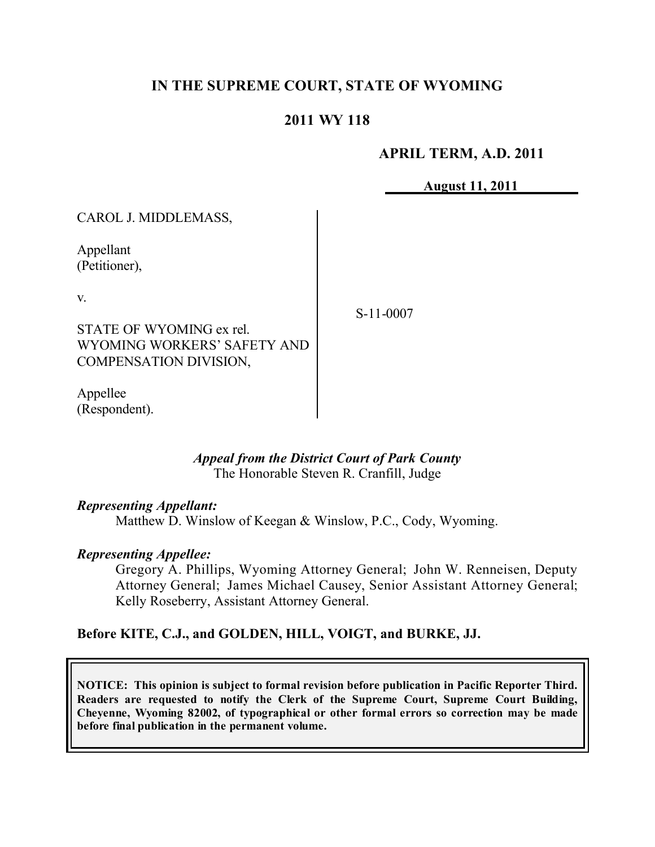## **IN THE SUPREME COURT, STATE OF WYOMING**

### **2011 WY 118**

#### **APRIL TERM, A.D. 2011**

**August 11, 2011**

CAROL J. MIDDLEMASS,

Appellant (Petitioner),

v.

STATE OF WYOMING ex rel. WYOMING WORKERS' SAFETY AND COMPENSATION DIVISION,

Appellee (Respondent). S-11-0007

#### *Appeal from the District Court of Park County* The Honorable Steven R. Cranfill, Judge

#### *Representing Appellant:*

Matthew D. Winslow of Keegan & Winslow, P.C., Cody, Wyoming.

#### *Representing Appellee:*

Gregory A. Phillips, Wyoming Attorney General; John W. Renneisen, Deputy Attorney General; James Michael Causey, Senior Assistant Attorney General; Kelly Roseberry, Assistant Attorney General.

### **Before KITE, C.J., and GOLDEN, HILL, VOIGT, and BURKE, JJ.**

**NOTICE: This opinion is subject to formal revision before publication in Pacific Reporter Third. Readers are requested to notify the Clerk of the Supreme Court, Supreme Court Building, Cheyenne, Wyoming 82002, of typographical or other formal errors so correction may be made before final publication in the permanent volume.**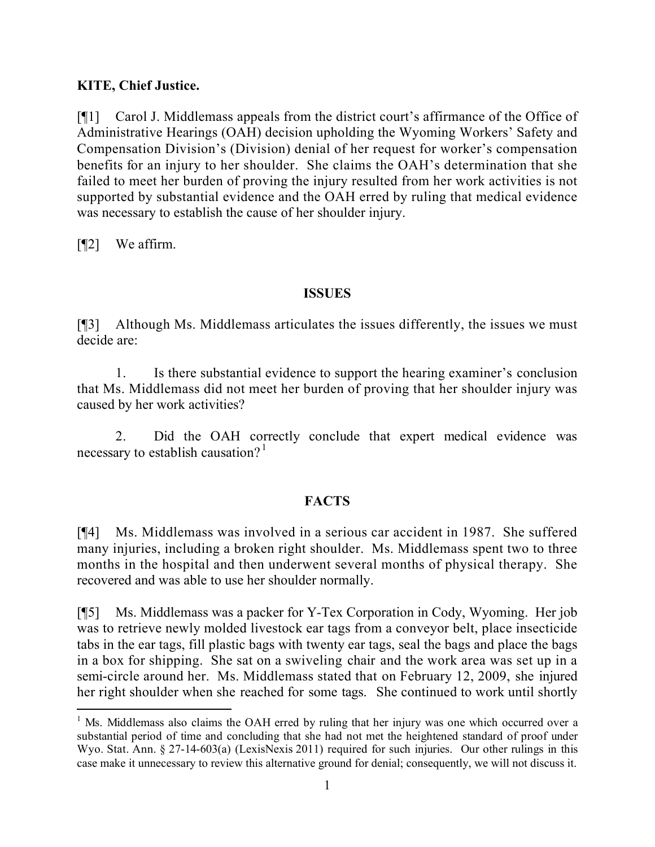### **KITE, Chief Justice.**

[¶1] Carol J. Middlemass appeals from the district court's affirmance of the Office of Administrative Hearings (OAH) decision upholding the Wyoming Workers' Safety and Compensation Division's (Division) denial of her request for worker's compensation benefits for an injury to her shoulder. She claims the OAH's determination that she failed to meet her burden of proving the injury resulted from her work activities is not supported by substantial evidence and the OAH erred by ruling that medical evidence was necessary to establish the cause of her shoulder injury.

[¶2] We affirm.

 $\overline{a}$ 

### **ISSUES**

[¶3] Although Ms. Middlemass articulates the issues differently, the issues we must decide are:

1. Is there substantial evidence to support the hearing examiner's conclusion that Ms. Middlemass did not meet her burden of proving that her shoulder injury was caused by her work activities?

2. Did the OAH correctly conclude that expert medical evidence was necessary to establish causation?<sup>1</sup>

# **FACTS**

[¶4] Ms. Middlemass was involved in a serious car accident in 1987. She suffered many injuries, including a broken right shoulder. Ms. Middlemass spent two to three months in the hospital and then underwent several months of physical therapy. She recovered and was able to use her shoulder normally.

[¶5] Ms. Middlemass was a packer for Y-Tex Corporation in Cody, Wyoming. Her job was to retrieve newly molded livestock ear tags from a conveyor belt, place insecticide tabs in the ear tags, fill plastic bags with twenty ear tags, seal the bags and place the bags in a box for shipping. She sat on a swiveling chair and the work area was set up in a semi-circle around her. Ms. Middlemass stated that on February 12, 2009, she injured her right shoulder when she reached for some tags. She continued to work until shortly

<sup>&</sup>lt;sup>1</sup> Ms. Middlemass also claims the OAH erred by ruling that her injury was one which occurred over a substantial period of time and concluding that she had not met the heightened standard of proof under Wyo. Stat. Ann. § 27-14-603(a) (LexisNexis 2011) required for such injuries. Our other rulings in this case make it unnecessary to review this alternative ground for denial; consequently, we will not discuss it.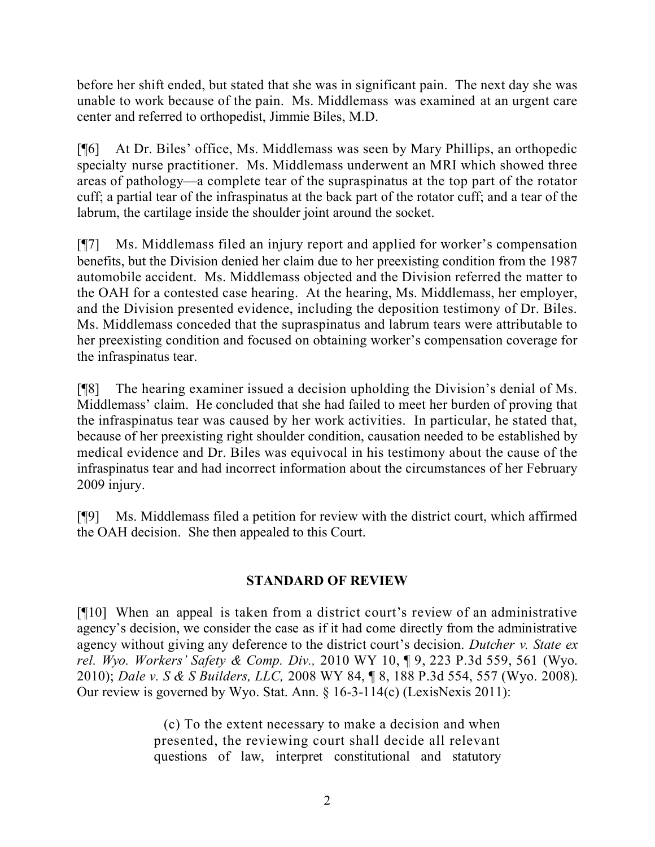before her shift ended, but stated that she was in significant pain. The next day she was unable to work because of the pain. Ms. Middlemass was examined at an urgent care center and referred to orthopedist, Jimmie Biles, M.D.

[¶6] At Dr. Biles' office, Ms. Middlemass was seen by Mary Phillips, an orthopedic specialty nurse practitioner. Ms. Middlemass underwent an MRI which showed three areas of pathology—a complete tear of the supraspinatus at the top part of the rotator cuff; a partial tear of the infraspinatus at the back part of the rotator cuff; and a tear of the labrum, the cartilage inside the shoulder joint around the socket.

[¶7] Ms. Middlemass filed an injury report and applied for worker's compensation benefits, but the Division denied her claim due to her preexisting condition from the 1987 automobile accident. Ms. Middlemass objected and the Division referred the matter to the OAH for a contested case hearing. At the hearing, Ms. Middlemass, her employer, and the Division presented evidence, including the deposition testimony of Dr. Biles. Ms. Middlemass conceded that the supraspinatus and labrum tears were attributable to her preexisting condition and focused on obtaining worker's compensation coverage for the infraspinatus tear.

[¶8] The hearing examiner issued a decision upholding the Division's denial of Ms. Middlemass' claim. He concluded that she had failed to meet her burden of proving that the infraspinatus tear was caused by her work activities. In particular, he stated that, because of her preexisting right shoulder condition, causation needed to be established by medical evidence and Dr. Biles was equivocal in his testimony about the cause of the infraspinatus tear and had incorrect information about the circumstances of her February 2009 injury.

[¶9] Ms. Middlemass filed a petition for review with the district court, which affirmed the OAH decision. She then appealed to this Court.

### **STANDARD OF REVIEW**

[¶10] When an appeal is taken from a district court's review of an administrative agency's decision, we consider the case as if it had come directly from the administrative agency without giving any deference to the district court's decision. *Dutcher v. State ex rel. Wyo. Workers' Safety & Comp. Div.,* 2010 WY 10, ¶ 9, 223 P.3d 559, 561 (Wyo. 2010); *Dale v. S & S Builders, LLC,* 2008 WY 84, ¶ 8, 188 P.3d 554, 557 (Wyo. 2008). Our review is governed by Wyo. Stat. Ann. § 16-3-114(c) (LexisNexis 2011):

> (c) To the extent necessary to make a decision and when presented, the reviewing court shall decide all relevant questions of law, interpret constitutional and statutory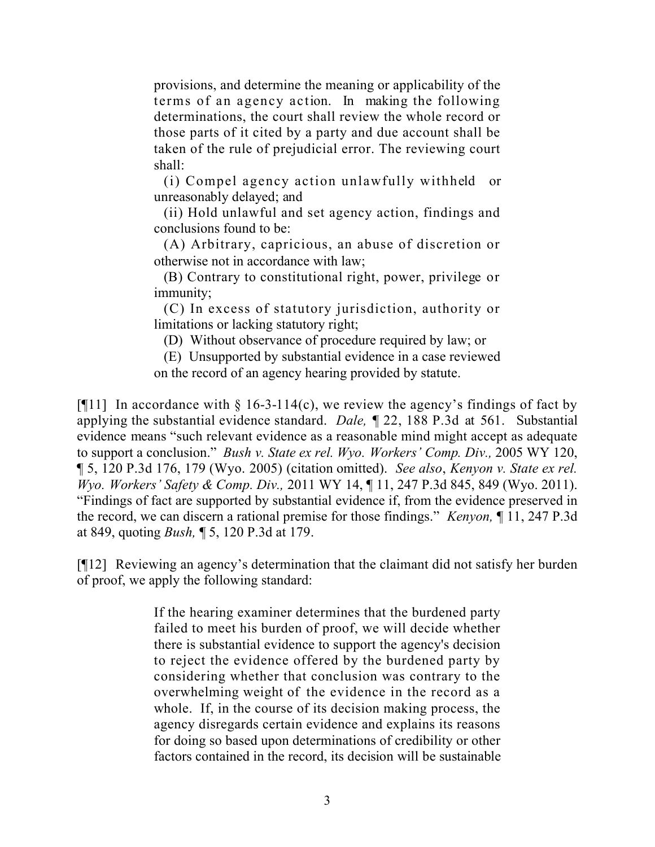provisions, and determine the meaning or applicability of the terms of an agency action. In making the following determinations, the court shall review the whole record or those parts of it cited by a party and due account shall be taken of the rule of prejudicial error. The reviewing court shall:

(i) Compel agency action unlawfully withheld or unreasonably delayed; and

(ii) Hold unlawful and set agency action, findings and conclusions found to be:

(A) Arbitrary, capricious, an abuse of discretion or otherwise not in accordance with law;

(B) Contrary to constitutional right, power, privilege or immunity;

(C) In excess of statutory jurisdiction, authority or limitations or lacking statutory right;

(D) Without observance of procedure required by law; or

(E) Unsupported by substantial evidence in a case reviewed on the record of an agency hearing provided by statute.

[ $[11]$ ] In accordance with § 16-3-114(c), we review the agency's findings of fact by applying the substantial evidence standard. *Dale,* ¶ 22, 188 P.3d at 561. Substantial evidence means "such relevant evidence as a reasonable mind might accept as adequate to support a conclusion." *Bush v. State ex rel. Wyo. Workers' Comp. Div.,* 2005 WY 120, ¶ 5, 120 P.3d 176, 179 (Wyo. 2005) (citation omitted). *See also*, *Kenyon v. State ex rel. Wyo. Workers' Safety & Comp. Div.,* 2011 WY 14, ¶ 11, 247 P.3d 845, 849 (Wyo. 2011). "Findings of fact are supported by substantial evidence if, from the evidence preserved in the record, we can discern a rational premise for those findings." *Kenyon,* ¶ 11, 247 P.3d at 849, quoting *Bush,* ¶ 5, 120 P.3d at 179.

[¶12] Reviewing an agency's determination that the claimant did not satisfy her burden of proof, we apply the following standard:

> If the hearing examiner determines that the burdened party failed to meet his burden of proof, we will decide whether there is substantial evidence to support the agency's decision to reject the evidence offered by the burdened party by considering whether that conclusion was contrary to the overwhelming weight of the evidence in the record as a whole. If, in the course of its decision making process, the agency disregards certain evidence and explains its reasons for doing so based upon determinations of credibility or other factors contained in the record, its decision will be sustainable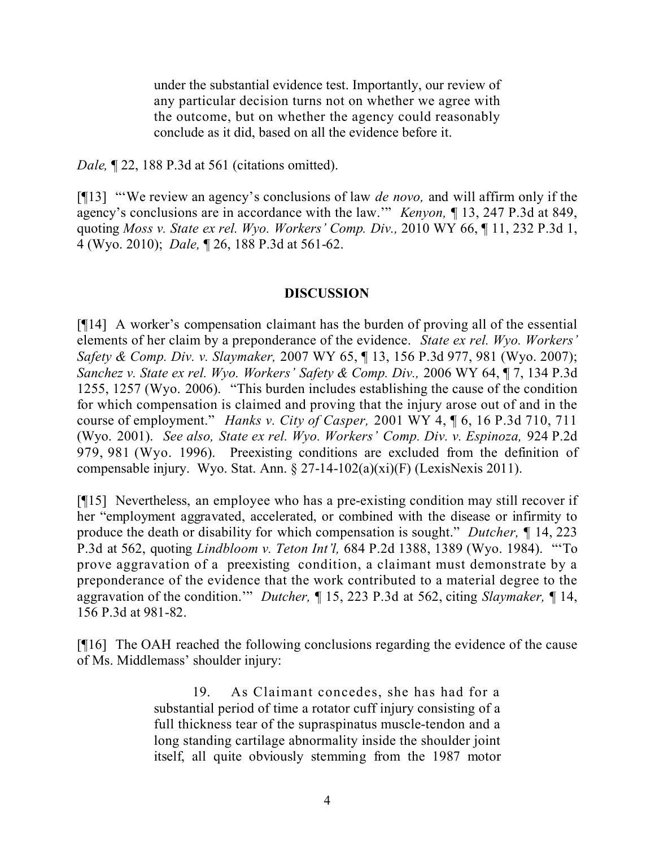under the substantial evidence test. Importantly, our review of any particular decision turns not on whether we agree with the outcome, but on whether the agency could reasonably conclude as it did, based on all the evidence before it.

*Dale,* ¶ 22, 188 P.3d at 561 (citations omitted).

[¶13] "'We review an agency's conclusions of law *de novo,* and will affirm only if the agency's conclusions are in accordance with the law.'" *Kenyon,* ¶ 13, 247 P.3d at 849, quoting *Moss v. State ex rel. Wyo. Workers' Comp. Div.,* 2010 WY 66, ¶ 11, 232 P.3d 1, 4 (Wyo. 2010); *Dale,* ¶ 26, 188 P.3d at 561-62.

### **DISCUSSION**

[¶14] A worker's compensation claimant has the burden of proving all of the essential elements of her claim by a preponderance of the evidence. *State ex rel. Wyo. Workers' Safety & Comp. Div. v. Slaymaker,* 2007 WY 65, ¶ 13, 156 P.3d 977, 981 (Wyo. 2007); *Sanchez v. State ex rel. Wyo. Workers' Safety & Comp. Div.,* 2006 WY 64, ¶ 7, 134 P.3d 1255, 1257 (Wyo. 2006). "This burden includes establishing the cause of the condition for which compensation is claimed and proving that the injury arose out of and in the course of employment." *Hanks v. City of Casper,* 2001 WY 4, ¶ 6, 16 P.3d 710, 711 (Wyo. 2001). *See also, State ex rel. Wyo. Workers' Comp. Div. v. Espinoza,* 924 P.2d 979, 981 (Wyo. 1996). Preexisting conditions are excluded from the definition of compensable injury. Wyo. Stat. Ann. § 27-14-102(a)(xi)(F) (LexisNexis 2011).

[¶15] Nevertheless, an employee who has a pre-existing condition may still recover if her "employment aggravated, accelerated, or combined with the disease or infirmity to produce the death or disability for which compensation is sought." *Dutcher, ¶* 14, 223 P.3d at 562, quoting *Lindbloom v. Teton Int'l,* 684 P.2d 1388, 1389 (Wyo. 1984). "'To prove aggravation of a preexisting condition, a claimant must demonstrate by a preponderance of the evidence that the work contributed to a material degree to the aggravation of the condition.'" *Dutcher,* ¶ 15, 223 P.3d at 562, citing *Slaymaker,* ¶ 14, 156 P.3d at 981-82.

[¶16] The OAH reached the following conclusions regarding the evidence of the cause of Ms. Middlemass' shoulder injury:

> 19. As Claimant concedes, she has had for a substantial period of time a rotator cuff injury consisting of a full thickness tear of the supraspinatus muscle-tendon and a long standing cartilage abnormality inside the shoulder joint itself, all quite obviously stemming from the 1987 motor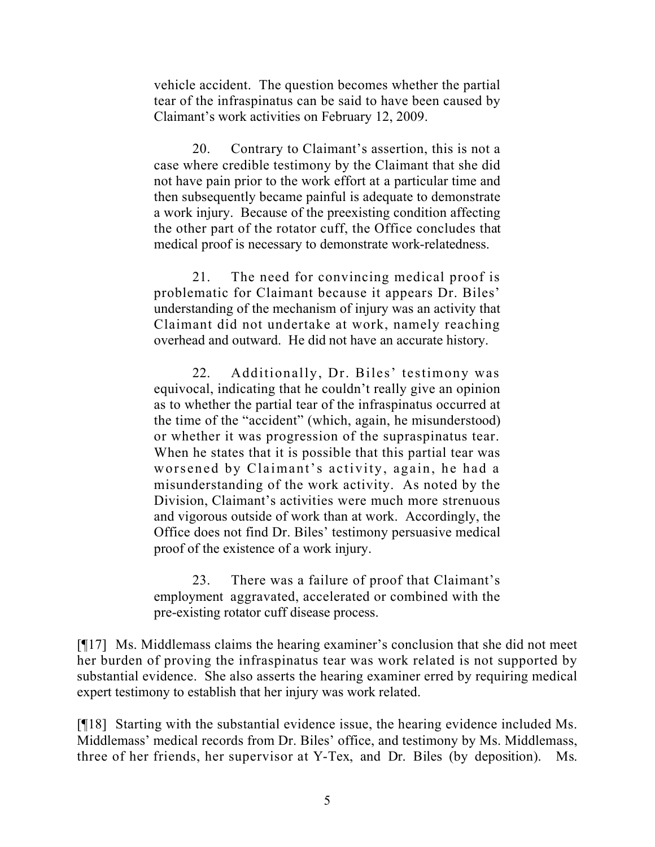vehicle accident. The question becomes whether the partial tear of the infraspinatus can be said to have been caused by Claimant's work activities on February 12, 2009.

20. Contrary to Claimant's assertion, this is not a case where credible testimony by the Claimant that she did not have pain prior to the work effort at a particular time and then subsequently became painful is adequate to demonstrate a work injury. Because of the preexisting condition affecting the other part of the rotator cuff, the Office concludes that medical proof is necessary to demonstrate work-relatedness.

21. The need for convincing medical proof is problematic for Claimant because it appears Dr. Biles' understanding of the mechanism of injury was an activity that Claimant did not undertake at work, namely reaching overhead and outward. He did not have an accurate history.

22. Additionally, Dr. Biles' testimony was equivocal, indicating that he couldn't really give an opinion as to whether the partial tear of the infraspinatus occurred at the time of the "accident" (which, again, he misunderstood) or whether it was progression of the supraspinatus tear. When he states that it is possible that this partial tear was worsened by Claimant's activity, again, he had a misunderstanding of the work activity. As noted by the Division, Claimant's activities were much more strenuous and vigorous outside of work than at work. Accordingly, the Office does not find Dr. Biles' testimony persuasive medical proof of the existence of a work injury.

23. There was a failure of proof that Claimant's employment aggravated, accelerated or combined with the pre-existing rotator cuff disease process.

[¶17] Ms. Middlemass claims the hearing examiner's conclusion that she did not meet her burden of proving the infraspinatus tear was work related is not supported by substantial evidence. She also asserts the hearing examiner erred by requiring medical expert testimony to establish that her injury was work related.

[¶18] Starting with the substantial evidence issue, the hearing evidence included Ms. Middlemass' medical records from Dr. Biles' office, and testimony by Ms. Middlemass, three of her friends, her supervisor at Y-Tex, and Dr. Biles (by deposition). Ms.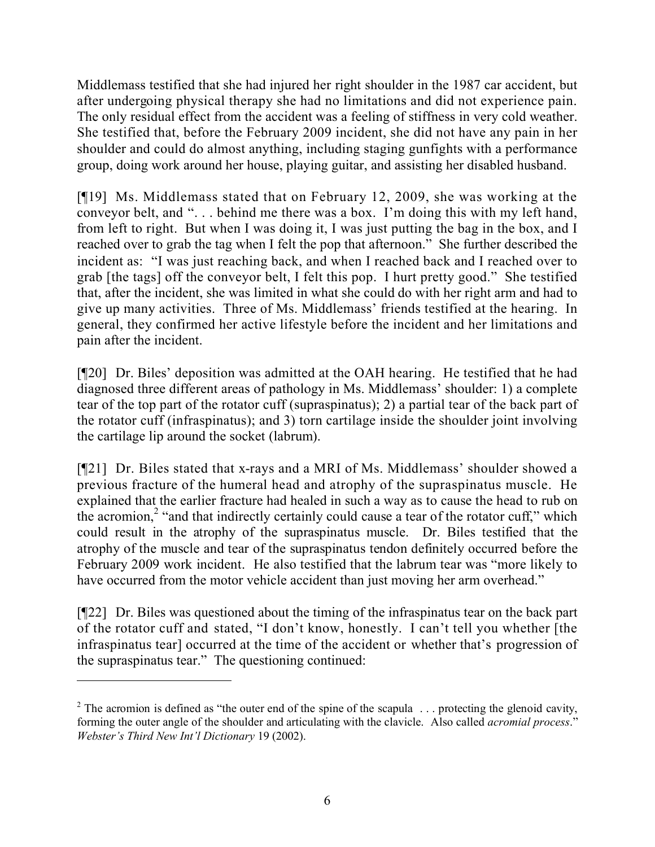Middlemass testified that she had injured her right shoulder in the 1987 car accident, but after undergoing physical therapy she had no limitations and did not experience pain. The only residual effect from the accident was a feeling of stiffness in very cold weather. She testified that, before the February 2009 incident, she did not have any pain in her shoulder and could do almost anything, including staging gunfights with a performance group, doing work around her house, playing guitar, and assisting her disabled husband.

[¶19] Ms. Middlemass stated that on February 12, 2009, she was working at the conveyor belt, and ". . . behind me there was a box. I'm doing this with my left hand, from left to right. But when I was doing it, I was just putting the bag in the box, and I reached over to grab the tag when I felt the pop that afternoon." She further described the incident as: "I was just reaching back, and when I reached back and I reached over to grab [the tags] off the conveyor belt, I felt this pop. I hurt pretty good." She testified that, after the incident, she was limited in what she could do with her right arm and had to give up many activities. Three of Ms. Middlemass' friends testified at the hearing. In general, they confirmed her active lifestyle before the incident and her limitations and pain after the incident.

[¶20] Dr. Biles' deposition was admitted at the OAH hearing. He testified that he had diagnosed three different areas of pathology in Ms. Middlemass' shoulder: 1) a complete tear of the top part of the rotator cuff (supraspinatus); 2) a partial tear of the back part of the rotator cuff (infraspinatus); and 3) torn cartilage inside the shoulder joint involving the cartilage lip around the socket (labrum).

[¶21] Dr. Biles stated that x-rays and a MRI of Ms. Middlemass' shoulder showed a previous fracture of the humeral head and atrophy of the supraspinatus muscle. He explained that the earlier fracture had healed in such a way as to cause the head to rub on the acromion,<sup>2</sup> "and that indirectly certainly could cause a tear of the rotator cuff," which could result in the atrophy of the supraspinatus muscle. Dr. Biles testified that the atrophy of the muscle and tear of the supraspinatus tendon definitely occurred before the February 2009 work incident. He also testified that the labrum tear was "more likely to have occurred from the motor vehicle accident than just moving her arm overhead."

[¶22] Dr. Biles was questioned about the timing of the infraspinatus tear on the back part of the rotator cuff and stated, "I don't know, honestly. I can't tell you whether [the infraspinatus tear] occurred at the time of the accident or whether that's progression of the supraspinatus tear." The questioning continued:

 $\overline{a}$ 

<sup>&</sup>lt;sup>2</sup> The acromion is defined as "the outer end of the spine of the scapula  $\ldots$  protecting the glenoid cavity, forming the outer angle of the shoulder and articulating with the clavicle. Also called *acromial process*." *Webster's Third New Int'l Dictionary* 19 (2002).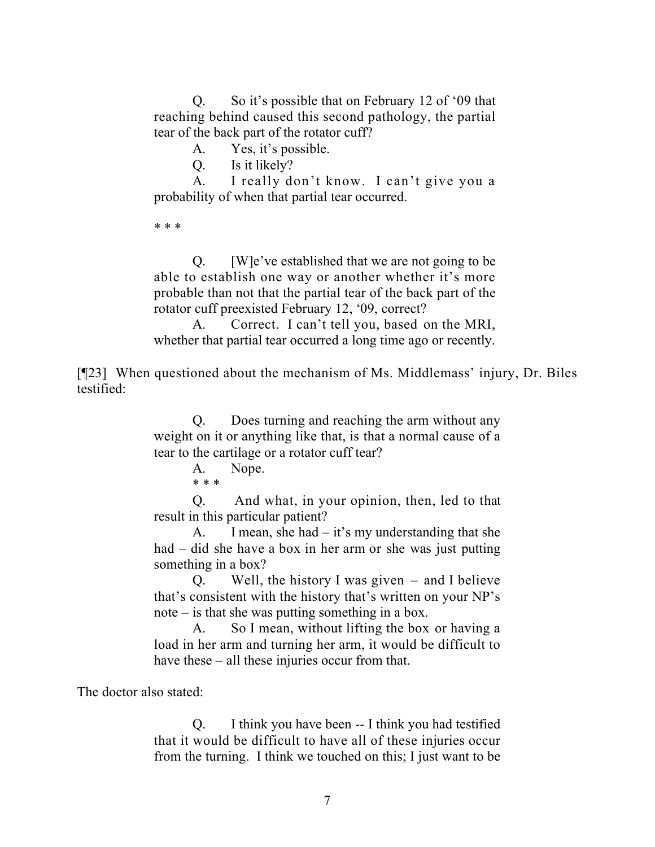Q. So it's possible that on February 12 of '09 that reaching behind caused this second pathology, the partial tear of the back part of the rotator cuff?

A. Yes, it's possible.

Q. Is it likely?

A. I really don't know. I can't give you a probability of when that partial tear occurred.

\* \* \*

Q. [W]e've established that we are not going to be able to establish one way or another whether it's more probable than not that the partial tear of the back part of the rotator cuff preexisted February 12, '09, correct?

A. Correct. I can't tell you, based on the MRI, whether that partial tear occurred a long time ago or recently.

[¶23] When questioned about the mechanism of Ms. Middlemass' injury, Dr. Biles testified:

> Q. Does turning and reaching the arm without any weight on it or anything like that, is that a normal cause of a tear to the cartilage or a rotator cuff tear?

> > A. Nope. \* \* \*

Q. And what, in your opinion, then, led to that result in this particular patient?

A. I mean, she had – it's my understanding that she had – did she have a box in her arm or she was just putting something in a box?

Q. Well, the history I was given – and I believe that's consistent with the history that's written on your NP's note – is that she was putting something in a box.

A. So I mean, without lifting the box or having a load in her arm and turning her arm, it would be difficult to have these – all these injuries occur from that.

The doctor also stated:

Q. I think you have been -- I think you had testified that it would be difficult to have all of these injuries occur from the turning. I think we touched on this; I just want to be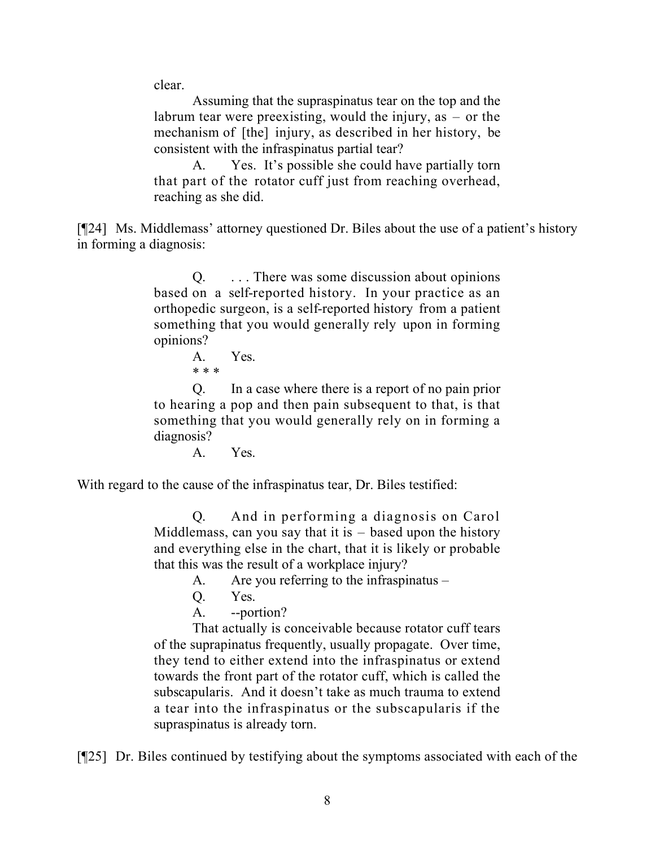clear.

Assuming that the supraspinatus tear on the top and the labrum tear were preexisting, would the injury, as – or the mechanism of [the] injury, as described in her history, be consistent with the infraspinatus partial tear?

A. Yes. It's possible she could have partially torn that part of the rotator cuff just from reaching overhead, reaching as she did.

[¶24] Ms. Middlemass' attorney questioned Dr. Biles about the use of a patient's history in forming a diagnosis:

> Q. . . . There was some discussion about opinions based on a self-reported history. In your practice as an orthopedic surgeon, is a self-reported history from a patient something that you would generally rely upon in forming opinions?

A. Yes. \* \* \*

Q. In a case where there is a report of no pain prior to hearing a pop and then pain subsequent to that, is that something that you would generally rely on in forming a diagnosis?

A. Yes.

With regard to the cause of the infraspinatus tear, Dr. Biles testified:

Q. And in performing a diagnosis on Carol Middlemass, can you say that it is  $-$  based upon the history and everything else in the chart, that it is likely or probable that this was the result of a workplace injury?

A. Are you referring to the infraspinatus –

- Q. Yes.
- A. --portion?

That actually is conceivable because rotator cuff tears of the suprapinatus frequently, usually propagate. Over time, they tend to either extend into the infraspinatus or extend towards the front part of the rotator cuff, which is called the subscapularis. And it doesn't take as much trauma to extend a tear into the infraspinatus or the subscapularis if the supraspinatus is already torn.

[¶25] Dr. Biles continued by testifying about the symptoms associated with each of the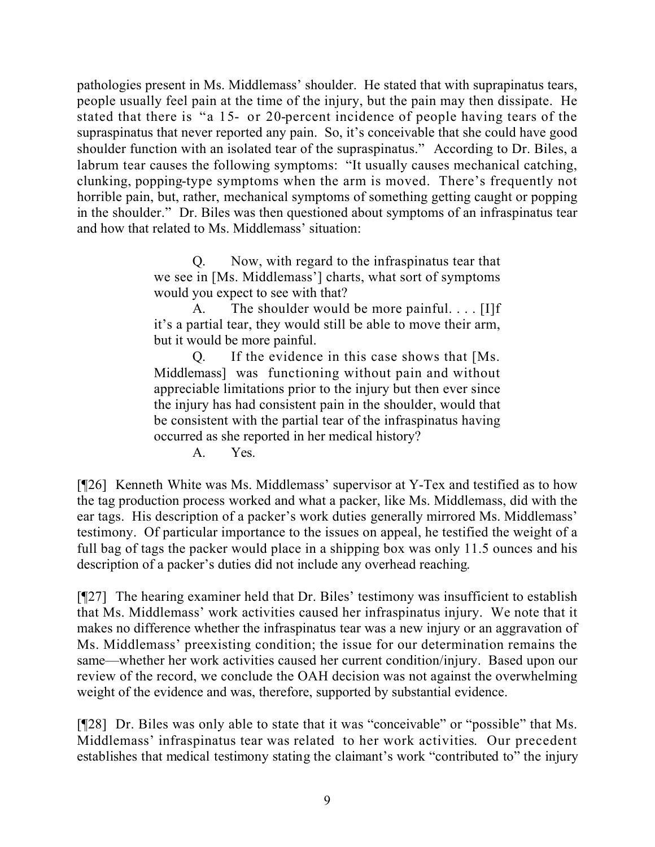pathologies present in Ms. Middlemass' shoulder. He stated that with suprapinatus tears, people usually feel pain at the time of the injury, but the pain may then dissipate. He stated that there is "a 15- or 20-percent incidence of people having tears of the supraspinatus that never reported any pain. So, it's conceivable that she could have good shoulder function with an isolated tear of the supraspinatus." According to Dr. Biles, a labrum tear causes the following symptoms: "It usually causes mechanical catching, clunking, popping-type symptoms when the arm is moved. There's frequently not horrible pain, but, rather, mechanical symptoms of something getting caught or popping in the shoulder." Dr. Biles was then questioned about symptoms of an infraspinatus tear and how that related to Ms. Middlemass' situation:

> Q. Now, with regard to the infraspinatus tear that we see in [Ms. Middlemass'] charts, what sort of symptoms would you expect to see with that?

> A. The shoulder would be more painful.  $\ldots$  [I]f it's a partial tear, they would still be able to move their arm, but it would be more painful.

> Q. If the evidence in this case shows that [Ms. Middlemass] was functioning without pain and without appreciable limitations prior to the injury but then ever since the injury has had consistent pain in the shoulder, would that be consistent with the partial tear of the infraspinatus having occurred as she reported in her medical history?

> > A. Yes.

[¶26] Kenneth White was Ms. Middlemass' supervisor at Y-Tex and testified as to how the tag production process worked and what a packer, like Ms. Middlemass, did with the ear tags. His description of a packer's work duties generally mirrored Ms. Middlemass' testimony. Of particular importance to the issues on appeal, he testified the weight of a full bag of tags the packer would place in a shipping box was only 11.5 ounces and his description of a packer's duties did not include any overhead reaching.

[¶27] The hearing examiner held that Dr. Biles' testimony was insufficient to establish that Ms. Middlemass' work activities caused her infraspinatus injury. We note that it makes no difference whether the infraspinatus tear was a new injury or an aggravation of Ms. Middlemass' preexisting condition; the issue for our determination remains the same—whether her work activities caused her current condition/injury. Based upon our review of the record, we conclude the OAH decision was not against the overwhelming weight of the evidence and was, therefore, supported by substantial evidence.

[¶28] Dr. Biles was only able to state that it was "conceivable" or "possible" that Ms. Middlemass' infraspinatus tear was related to her work activities. Our precedent establishes that medical testimony stating the claimant's work "contributed to" the injury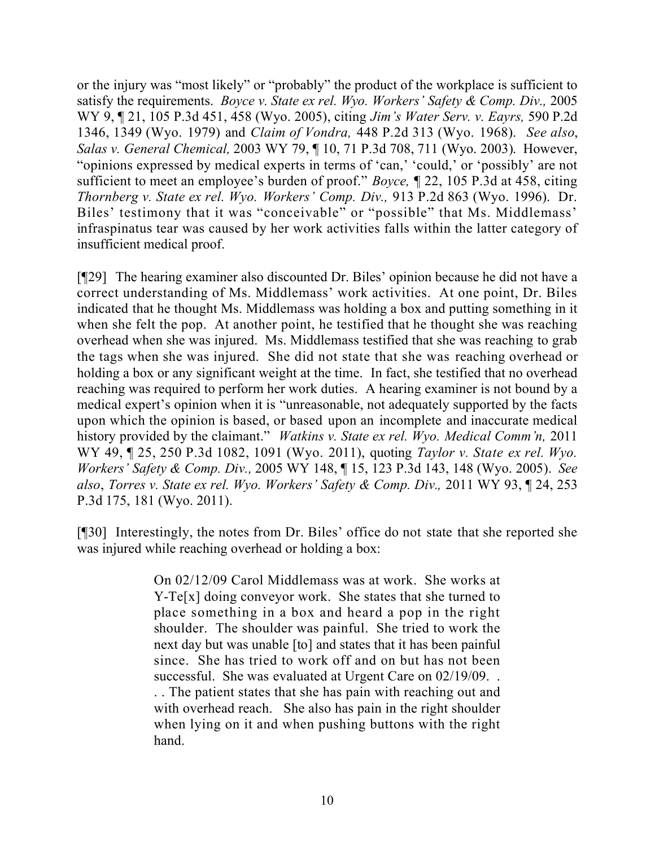or the injury was "most likely" or "probably" the product of the workplace is sufficient to satisfy the requirements. *Boyce v. State ex rel. Wyo. Workers' Safety & Comp. Div.,* 2005 WY 9, ¶ 21, 105 P.3d 451, 458 (Wyo. 2005), citing *Jim's Water Serv. v. Eayrs,* 590 P.2d 1346, 1349 (Wyo. 1979) and *Claim of Vondra,* 448 P.2d 313 (Wyo. 1968). *See also*, *Salas v. General Chemical,* 2003 WY 79, ¶ 10, 71 P.3d 708, 711 (Wyo. 2003). However, "opinions expressed by medical experts in terms of 'can,' 'could,' or 'possibly' are not sufficient to meet an employee's burden of proof." *Boyce,* ¶ 22, 105 P.3d at 458, citing *Thornberg v. State ex rel. Wyo. Workers' Comp. Div.,* 913 P.2d 863 (Wyo. 1996). Dr. Biles' testimony that it was "conceivable" or "possible" that Ms. Middlemass' infraspinatus tear was caused by her work activities falls within the latter category of insufficient medical proof.

[¶29] The hearing examiner also discounted Dr. Biles' opinion because he did not have a correct understanding of Ms. Middlemass' work activities. At one point, Dr. Biles indicated that he thought Ms. Middlemass was holding a box and putting something in it when she felt the pop. At another point, he testified that he thought she was reaching overhead when she was injured. Ms. Middlemass testified that she was reaching to grab the tags when she was injured. She did not state that she was reaching overhead or holding a box or any significant weight at the time. In fact, she testified that no overhead reaching was required to perform her work duties. A hearing examiner is not bound by a medical expert's opinion when it is "unreasonable, not adequately supported by the facts upon which the opinion is based, or based upon an incomplete and inaccurate medical history provided by the claimant." *Watkins v. State ex rel. Wyo. Medical Comm'n,* 2011 WY 49, ¶ 25, 250 P.3d 1082, 1091 (Wyo. 2011), quoting *Taylor v. State ex rel. Wyo. Workers' Safety & Comp. Div.,* 2005 WY 148, ¶ 15, 123 P.3d 143, 148 (Wyo. 2005). *See also*, *Torres v. State ex rel. Wyo. Workers' Safety & Comp. Div.,* 2011 WY 93, ¶ 24, 253 P.3d 175, 181 (Wyo. 2011).

[¶30] Interestingly, the notes from Dr. Biles' office do not state that she reported she was injured while reaching overhead or holding a box:

> On 02/12/09 Carol Middlemass was at work. She works at Y-Te[x] doing conveyor work. She states that she turned to place something in a box and heard a pop in the right shoulder. The shoulder was painful. She tried to work the next day but was unable [to] and states that it has been painful since. She has tried to work off and on but has not been successful. She was evaluated at Urgent Care on 02/19/09.

> . . The patient states that she has pain with reaching out and with overhead reach. She also has pain in the right shoulder when lying on it and when pushing buttons with the right hand.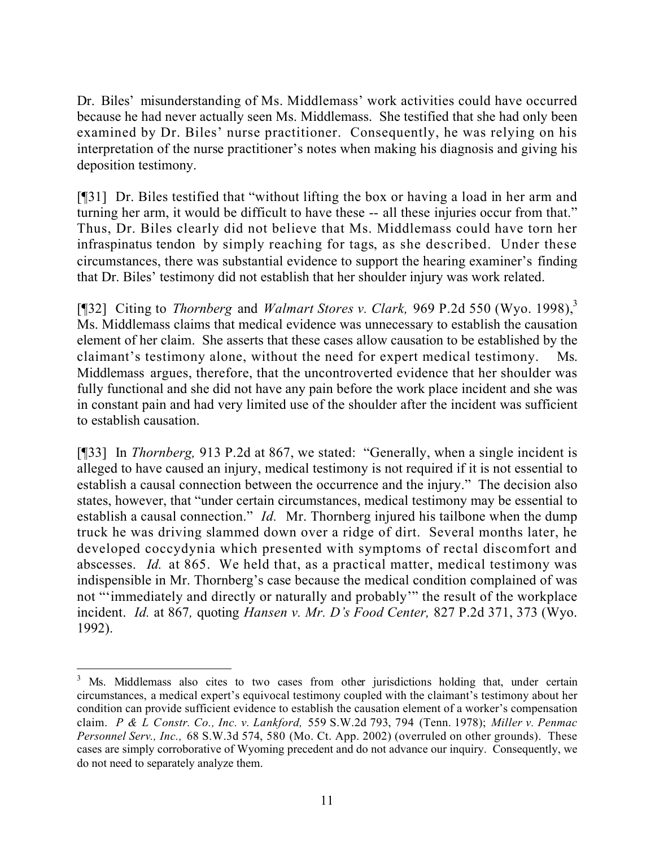Dr. Biles' misunderstanding of Ms. Middlemass' work activities could have occurred because he had never actually seen Ms. Middlemass. She testified that she had only been examined by Dr. Biles' nurse practitioner. Consequently, he was relying on his interpretation of the nurse practitioner's notes when making his diagnosis and giving his deposition testimony.

[¶31] Dr. Biles testified that "without lifting the box or having a load in her arm and turning her arm, it would be difficult to have these -- all these injuries occur from that." Thus, Dr. Biles clearly did not believe that Ms. Middlemass could have torn her infraspinatus tendon by simply reaching for tags, as she described. Under these circumstances, there was substantial evidence to support the hearing examiner's finding that Dr. Biles' testimony did not establish that her shoulder injury was work related.

[¶32] Citing to *Thornberg* and *Walmart Stores v. Clark,* 969 P.2d 550 (Wyo. 1998).<sup>3</sup> Ms. Middlemass claims that medical evidence was unnecessary to establish the causation element of her claim. She asserts that these cases allow causation to be established by the claimant's testimony alone, without the need for expert medical testimony. Ms. Middlemass argues, therefore, that the uncontroverted evidence that her shoulder was fully functional and she did not have any pain before the work place incident and she was in constant pain and had very limited use of the shoulder after the incident was sufficient to establish causation.

[¶33] In *Thornberg,* 913 P.2d at 867, we stated: "Generally, when a single incident is alleged to have caused an injury, medical testimony is not required if it is not essential to establish a causal connection between the occurrence and the injury." The decision also states, however, that "under certain circumstances, medical testimony may be essential to establish a causal connection." *Id.* Mr. Thornberg injured his tailbone when the dump truck he was driving slammed down over a ridge of dirt. Several months later, he developed coccydynia which presented with symptoms of rectal discomfort and abscesses. *Id.* at 865. We held that, as a practical matter, medical testimony was indispensible in Mr. Thornberg's case because the medical condition complained of was not "'immediately and directly or naturally and probably'" the result of the workplace incident. *Id.* at 867*,* quoting *Hansen v. Mr. D's Food Center,* 827 P.2d 371, 373 (Wyo. 1992).

 $\overline{a}$ 

<sup>&</sup>lt;sup>3</sup> Ms. Middlemass also cites to two cases from other jurisdictions holding that, under certain circumstances, a medical expert's equivocal testimony coupled with the claimant's testimony about her condition can provide sufficient evidence to establish the causation element of a worker's compensation claim. *P & L Constr. Co., Inc. v. Lankford,* 559 S.W.2d 793, 794 (Tenn. 1978); *Miller v. Penmac Personnel Serv., Inc.,* 68 S.W.3d 574, 580 (Mo. Ct. App. 2002) (overruled on other grounds). These cases are simply corroborative of Wyoming precedent and do not advance our inquiry. Consequently, we do not need to separately analyze them.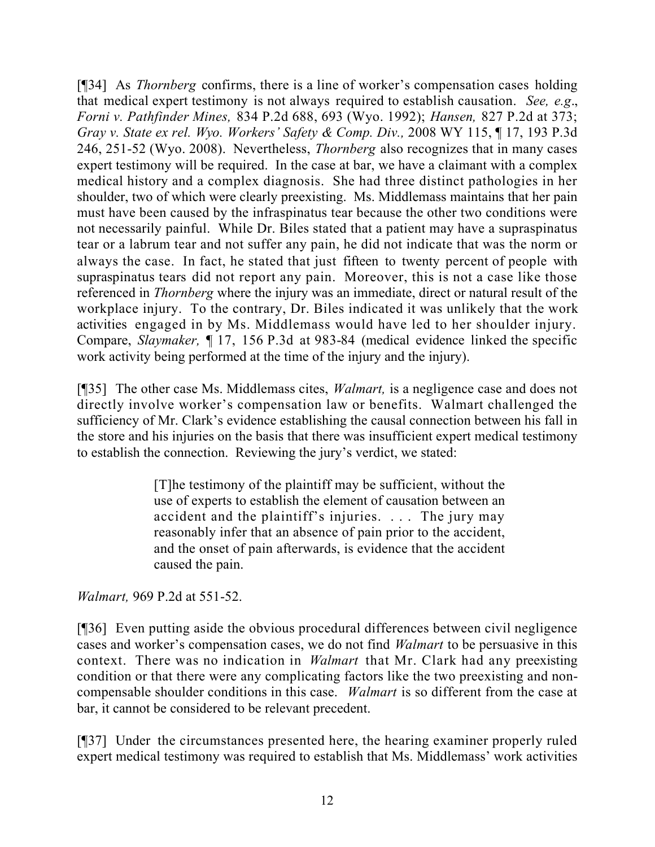[¶34] As *Thornberg* confirms, there is a line of worker's compensation cases holding that medical expert testimony is not always required to establish causation. *See, e.g*., *Forni v. Pathfinder Mines,* 834 P.2d 688, 693 (Wyo. 1992); *Hansen,* 827 P.2d at 373; *Gray v. State ex rel. Wyo. Workers' Safety & Comp. Div.,* 2008 WY 115, ¶ 17, 193 P.3d 246, 251-52 (Wyo. 2008). Nevertheless, *Thornberg* also recognizes that in many cases expert testimony will be required. In the case at bar, we have a claimant with a complex medical history and a complex diagnosis. She had three distinct pathologies in her shoulder, two of which were clearly preexisting. Ms. Middlemass maintains that her pain must have been caused by the infraspinatus tear because the other two conditions were not necessarily painful. While Dr. Biles stated that a patient may have a supraspinatus tear or a labrum tear and not suffer any pain, he did not indicate that was the norm or always the case. In fact, he stated that just fifteen to twenty percent of people with supraspinatus tears did not report any pain. Moreover, this is not a case like those referenced in *Thornberg* where the injury was an immediate, direct or natural result of the workplace injury. To the contrary, Dr. Biles indicated it was unlikely that the work activities engaged in by Ms. Middlemass would have led to her shoulder injury. Compare, *Slaymaker,* ¶ 17, 156 P.3d at 983-84 (medical evidence linked the specific work activity being performed at the time of the injury and the injury).

[¶35] The other case Ms. Middlemass cites, *Walmart,* is a negligence case and does not directly involve worker's compensation law or benefits. Walmart challenged the sufficiency of Mr. Clark's evidence establishing the causal connection between his fall in the store and his injuries on the basis that there was insufficient expert medical testimony to establish the connection. Reviewing the jury's verdict, we stated:

> [T]he testimony of the plaintiff may be sufficient, without the use of experts to establish the element of causation between an accident and the plaintiff's injuries. . . . The jury may reasonably infer that an absence of pain prior to the accident, and the onset of pain afterwards, is evidence that the accident caused the pain.

*Walmart,* 969 P.2d at 551-52.

[¶36] Even putting aside the obvious procedural differences between civil negligence cases and worker's compensation cases, we do not find *Walmart* to be persuasive in this context. There was no indication in *Walmart* that Mr. Clark had any preexisting condition or that there were any complicating factors like the two preexisting and noncompensable shoulder conditions in this case. *Walmart* is so different from the case at bar, it cannot be considered to be relevant precedent.

[¶37] Under the circumstances presented here, the hearing examiner properly ruled expert medical testimony was required to establish that Ms. Middlemass' work activities